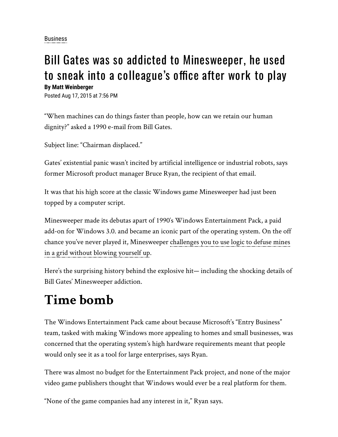[Business](https://web.archive.org/web/20201013165454mp_/https://www.news-star.com/search?text=Business)

#### Bill Gates was so addicted to Minesweeper, he used to sneak into a colleague's office after work to play

**By Matt Weinberger**

Posted Aug 17, 2015 at 7:56 PM

"When machines can do things faster than people, how can we retain our human dignity?" asked a 1990 e-mail from Bill Gates.

Subject line: "Chairman displaced."

Gates' existential panic wasn't incited by artificial intelligence or industrial robots, says former Microsoft product manager Bruce Ryan, the recipient of that email.

It was that his high score at the classic Windows game Minesweeper had just been topped by a computer script.

Minesweeper made its debutas apart of 1990′s Windows Entertainment Pack, a paid add-on for Windows 3.0. and became an iconic part of the operating system. On the off [chance you've never played it, Minesweeper challenges you to use logic to defuse mines](https://web.archive.org/web/20201013165454mp_/http://www.businessinsider.com/why-computers-comewith-solitaire-and-minesweeper-2015-8?utm_source=gatehouse&utm_medium=referral&utm_content=feed) in a grid without blowing yourself up.

Here's the surprising history behind the explosive hit— including the shocking details of Bill Gates' Minesweeper addiction.

#### **Time bomb**

The Windows Entertainment Pack came about because Microsoft's "Entry Business" team, tasked with making Windows more appealing to homes and small businesses, was concerned that the operating system's high hardware requirements meant that people would only see it as a tool for large enterprises, says Ryan.

There was almost no budget for the Entertainment Pack project, and none of the major video game publishers thought that Windows would ever be a real platform for them.

"None of the game companies had any interest in it," Ryan says.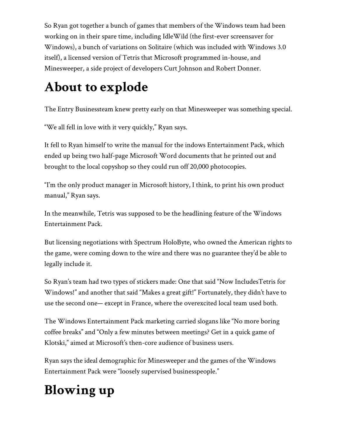So Ryan got together a bunch of games that members of the Windows team had been working on in their spare time, including IdleWild (the first-ever screensaver for Windows), a bunch of variations on Solitaire (which was included with Windows 3.0 itself), a licensed version of Tetris that Microsoft programmed in-house, and Minesweeper, a side project of developers Curt Johnson and Robert Donner.

### **About to explode**

The Entry Businessteam knew pretty early on that Minesweeper was something special.

"We all fell in love with it very quickly," Ryan says.

It fell to Ryan himself to write the manual for the indows Entertainment Pack, which ended up being two half-page Microsoft Word documents that he printed out and brought to the local copyshop so they could run off 20,000 photocopies.

"I'm the only product manager in Microsoft history, I think, to print his own product manual," Ryan says.

In the meanwhile, Tetris was supposed to be the headlining feature of the Windows Entertainment Pack.

But licensing negotiations with Spectrum HoloByte, who owned the American rights to the game, were coming down to the wire and there was no guarantee they'd be able to legally include it.

So Ryan's team had two types of stickers made: One that said "Now IncludesTetris for Windows!" and another that said "Makes a great gift!" Fortunately, they didn't have to use the second one— except in France, where the overexcited local team used both.

The Windows Entertainment Pack marketing carried slogans like "No more boring coffee breaks" and "Only a few minutes between meetings? Get in a quick game of Klotski," aimed at Microsoft's then-core audience of business users.

Ryan says the ideal demographic for Minesweeper and the games of the Windows Entertainment Pack were "loosely supervised businesspeople."

# **Blowing up**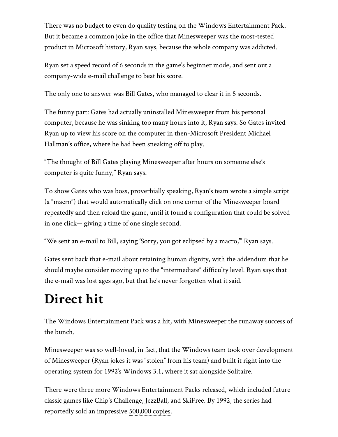There was no budget to even do quality testing on the Windows Entertainment Pack. But it became a common joke in the office that Minesweeper was the most-tested product in Microsoft history, Ryan says, because the whole company was addicted.

Ryan set a speed record of 6 seconds in the game's beginner mode, and sent out a company-wide e-mail challenge to beat his score.

The only one to answer was Bill Gates, who managed to clear it in 5 seconds.

The funny part: Gates had actually uninstalled Minesweeper from his personal computer, because he was sinking too many hours into it, Ryan says. So Gates invited Ryan up to view his score on the computer in then-Microsoft President Michael Hallman's office, where he had been sneaking off to play.

"The thought of Bill Gates playing Minesweeper after hours on someone else's computer is quite funny," Ryan says.

To show Gates who was boss, proverbially speaking, Ryan's team wrote a simple script (a "macro") that would automatically click on one corner of the Minesweeper board repeatedly and then reload the game, until it found a configuration that could be solved in one click— giving a time of one single second.

"We sent an e-mail to Bill, saying 'Sorry, you got eclipsed by a macro,'" Ryan says.

Gates sent back that e-mail about retaining human dignity, with the addendum that he should maybe consider moving up to the "intermediate" difficulty level. Ryan says that the e-mail was lost ages ago, but that he's never forgotten what it said.

## **Direct hit**

The Windows Entertainment Pack was a hit, with Minesweeper the runaway success of the bunch.

Minesweeper was so well-loved, in fact, that the Windows team took over development of Minesweeper (Ryan jokes it was "stolen" from his team) and built it right into the operating system for 1992′s Windows 3.1, where it sat alongside Solitaire.

There were three more Windows Entertainment Packs released, which included future classic games like Chip's Challenge, JezzBall, and SkiFree. By 1992, the series had reportedly sold an impressive [500,000 copies.](https://web.archive.org/web/20201013165454mp_/http://www.cgwmuseum.org/galleries/index.php?year=1992&pub=2&id=98)